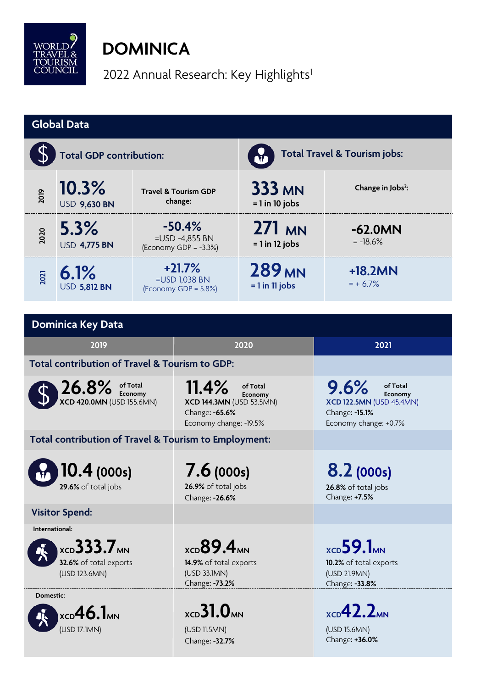

## **DOMINICA**

2022 Annual Research: Key Highlights<sup>1</sup>

| <b>Global Data</b>                                           |                              |                                                           |                                                                                                             |                                                     |                                                                                                            |  |  |  |
|--------------------------------------------------------------|------------------------------|-----------------------------------------------------------|-------------------------------------------------------------------------------------------------------------|-----------------------------------------------------|------------------------------------------------------------------------------------------------------------|--|--|--|
|                                                              | Total Travel & Tourism jobs: |                                                           |                                                                                                             |                                                     |                                                                                                            |  |  |  |
| 2019                                                         | 10.3%<br><b>USD 9,630 BN</b> | <b>Travel &amp; Tourism GDP</b><br>change:                |                                                                                                             | <b>333 MN</b><br>$= 1$ in 10 jobs                   | Change in Jobs <sup>2</sup> :                                                                              |  |  |  |
| 2020                                                         | 5.3%<br><b>USD 4,775 BN</b>  | $-50.4%$<br>$=$ USD -4,855 BN<br>(Economy GDP = $-3.3%$ ) |                                                                                                             | $271$ MN<br>$= 1$ in 12 jobs                        | $-62.0MN$<br>$= -18.6%$                                                                                    |  |  |  |
| 2021                                                         | 6.1%<br><b>USD 5,812 BN</b>  | $+21.7%$<br>=USD 1,038 BN<br>(Economy GDP = 5.8%)         |                                                                                                             | <b>289 MN</b><br>$= 1$ in 11 jobs                   | $+18.2MN$<br>$= + 6.7\%$                                                                                   |  |  |  |
|                                                              |                              |                                                           |                                                                                                             |                                                     |                                                                                                            |  |  |  |
| <b>Dominica Key Data</b>                                     |                              |                                                           |                                                                                                             |                                                     |                                                                                                            |  |  |  |
| 2019                                                         |                              |                                                           | 2020                                                                                                        |                                                     | 2021                                                                                                       |  |  |  |
| Total contribution of Travel & Tourism to GDP:               |                              |                                                           |                                                                                                             |                                                     |                                                                                                            |  |  |  |
| $26.8\%$ of Total<br>XCD 420.0MN (USD 155.6MN)               |                              |                                                           | 11.4%<br>of Total<br>Economy<br><b>XCD 144.3MN (USD 53.5MN)</b><br>Change: -65.6%<br>Economy change: -19.5% |                                                     | 9.6%<br>of Total<br>Economy<br><b>XCD 122.5MN (USD 45.4MN)</b><br>Change: - 15.1%<br>Economy change: +0.7% |  |  |  |
| Total contribution of Travel & Tourism to Employment:        |                              |                                                           |                                                                                                             |                                                     |                                                                                                            |  |  |  |
| 10.4(000s)<br>29.6% of total jobs                            |                              |                                                           | 7.6(000s)<br>26.9% of total jobs<br>Change: - 26.6%                                                         |                                                     | 8.2(000s)<br>26.8% of total jobs<br>Change: +7.5%                                                          |  |  |  |
| <b>Visitor Spend:</b>                                        |                              |                                                           |                                                                                                             |                                                     |                                                                                                            |  |  |  |
| International:                                               |                              |                                                           |                                                                                                             |                                                     |                                                                                                            |  |  |  |
| $XCD}$ 333.7 $MN$<br>32.6% of total exports<br>(USD 123.6MN) |                              |                                                           | $xCD}$ 89.4 $M$<br>14.9% of total exports<br>(USD 33.1MN)<br>Change: -73.2%                                 |                                                     | $_{\text{XCD}}$ 59.1 <sub>MN</sub><br>10.2% of total exports<br>(USD 21.9MN)<br>Change: -33.8%             |  |  |  |
| Domestic:                                                    |                              |                                                           |                                                                                                             |                                                     |                                                                                                            |  |  |  |
| $XCD$ 46.1 $MN$<br>(USD 17.1MN)                              |                              | $xCD}$ 31.0 $M$ NN<br>(USD 11.5MN)<br>Change: -32.7%      |                                                                                                             | $xCD$ 42.2 $M$ NN<br>(USD 15.6MN)<br>Change: +36.0% |                                                                                                            |  |  |  |